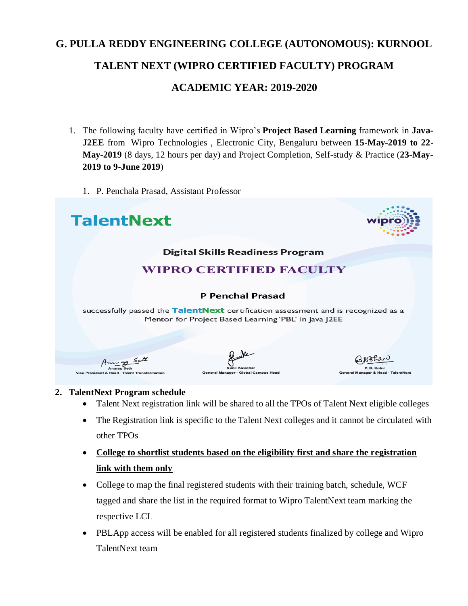# **G. PULLA REDDY ENGINEERING COLLEGE (AUTONOMOUS): KURNOOL TALENT NEXT (WIPRO CERTIFIED FACULTY) PROGRAM ACADEMIC YEAR: 2019-2020**

- 1. The following faculty have certified in Wipro's **Project Based Learning** framework in **Java-J2EE** from Wipro Technologies , Electronic City, Bengaluru between **15-May-2019 to 22- May-2019** (8 days, 12 hours per day) and Project Completion, Self-study & Practice (**23-May-2019 to 9-June 2019**)
	- 1. P. Penchala Prasad, Assistant Professor



#### **2. TalentNext Program schedule**

- Talent Next registration link will be shared to all the TPOs of Talent Next eligible colleges
- The Registration link is specific to the Talent Next colleges and it cannot be circulated with other TPOs
- **College to shortlist students based on the eligibility first and share the registration link with them only**
- College to map the final registered students with their training batch, schedule, WCF tagged and share the list in the required format to Wipro TalentNext team marking the respective LCL
- PBLApp access will be enabled for all registered students finalized by college and Wipro TalentNext team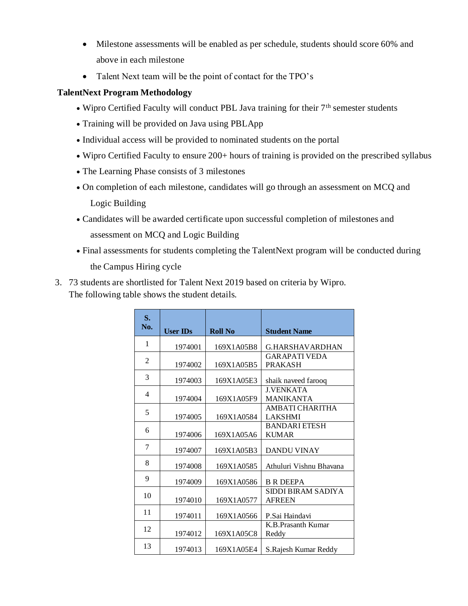- Milestone assessments will be enabled as per schedule, students should score 60% and above in each milestone
- Talent Next team will be the point of contact for the TPO's

## **TalentNext Program Methodology**

- Wipro Certified Faculty will conduct PBL Java training for their  $7<sup>th</sup>$  semester students
- Training will be provided on Java using PBLApp
- Individual access will be provided to nominated students on the portal
- Wipro Certified Faculty to ensure 200+ hours of training is provided on the prescribed syllabus
- The Learning Phase consists of 3 milestones
- On completion of each milestone, candidates will go through an assessment on MCQ and Logic Building
- Candidates will be awarded certificate upon successful completion of milestones and assessment on MCQ and Logic Building
- Final assessments for students completing the TalentNext program will be conducted during the Campus Hiring cycle
- 3. 73 students are shortlisted for Talent Next 2019 based on criteria by Wipro. The following table shows the student details.

| S.<br>No. | <b>User IDs</b> | <b>Roll No</b> | <b>Student Name</b>                     |
|-----------|-----------------|----------------|-----------------------------------------|
| 1         | 1974001         | 169X1A05B8     | G.HARSHAVARDHAN                         |
| 2         | 1974002         | 169X1A05B5     | <b>GAR APATI VEDA</b><br><b>PRAKASH</b> |
| 3         | 1974003         | 169X1A05E3     | shaik naveed farooq                     |
| 4         | 1974004         | 169X1A05F9     | <b>J.VENKATA</b><br><b>MANIKANTA</b>    |
| 5         | 1974005         | 169X1A0584     | AMBATI CHARITHA<br><b>LAKSHMI</b>       |
| 6         | 1974006         | 169X1A05A6     | <b>BANDARI ETESH</b><br><b>KUMAR</b>    |
| 7         | 1974007         | 169X1A05B3     | <b>DANDU VINAY</b>                      |
| 8         | 1974008         | 169X1A0585     | Athuluri Vishnu Bhavana                 |
| 9         | 1974009         | 169X1A0586     | <b>B R DEEPA</b>                        |
| 10        | 1974010         | 169X1A0577     | SIDDI BIRAM SADIYA<br><b>AFREEN</b>     |
| 11        | 1974011         | 169X1A0566     | P.Sai Haindavi                          |
| 12        | 1974012         | 169X1A05C8     | K.B. Prasanth Kumar<br>Reddy            |
| 13        | 1974013         | 169X1A05E4     | S. Rajesh Kumar Reddy                   |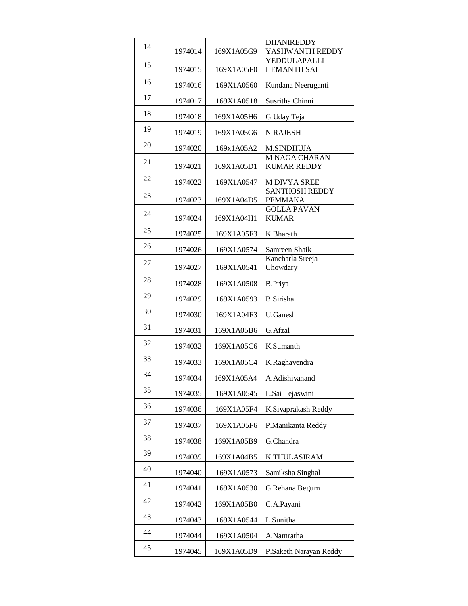|    |         |            | <b>DHANIREDDY</b>                       |
|----|---------|------------|-----------------------------------------|
| 14 | 1974014 | 169X1A05G9 | YASHWANTH REDDY                         |
| 15 |         |            | YEDDULAPALLI                            |
|    | 1974015 | 169X1A05F0 | HEMANTH SAI                             |
| 16 | 1974016 | 169X1A0560 | Kundana Neeruganti                      |
| 17 | 1974017 | 169X1A0518 | Susritha Chinni                         |
| 18 | 1974018 | 169X1A05H6 | G Uday Teja                             |
| 19 | 1974019 | 169X1A05G6 | <b>N RAJESH</b>                         |
| 20 | 1974020 | 169x1A05A2 | <b>M.SINDHUJA</b>                       |
| 21 |         |            | M NAGA CHARAN<br><b>KUMAR REDDY</b>     |
| 22 | 1974021 | 169X1A05D1 |                                         |
|    | 1974022 | 169X1A0547 | M DIVYA SREE                            |
| 23 | 1974023 | 169X1A04D5 | <b>SANTHOSH REDDY</b><br><b>PEMMAKA</b> |
|    |         |            | <b>GOLLA PAVAN</b>                      |
| 24 | 1974024 | 169X1A04H1 | <b>KUMAR</b>                            |
| 25 | 1974025 | 169X1A05F3 | K.Bharath                               |
| 26 | 1974026 | 169X1A0574 | Samreen Shaik                           |
| 27 | 1974027 | 169X1A0541 | Kancharla Sreeja<br>Chowdary            |
| 28 | 1974028 | 169X1A0508 | <b>B.Priya</b>                          |
| 29 | 1974029 | 169X1A0593 | <b>B.Sirisha</b>                        |
| 30 | 1974030 | 169X1A04F3 | <b>U.Ganesh</b>                         |
| 31 | 1974031 | 169X1A05B6 | G. Afzal                                |
| 32 | 1974032 | 169X1A05C6 | K.Sumanth                               |
| 33 | 1974033 | 169X1A05C4 | K.Raghavendra                           |
| 34 | 1974034 | 169X1A05A4 | A. Adishi vanand                        |
| 35 | 1974035 | 169X1A0545 | L.Sai Tejaswini                         |
| 36 | 1974036 | 169X1A05F4 | K.Sivaprakash Reddy                     |
| 37 | 1974037 | 169X1A05F6 | P.Manikanta Reddy                       |
| 38 | 1974038 | 169X1A05B9 | G.Chandra                               |
| 39 | 1974039 | 169X1A04B5 | K.THULASIRAM                            |
| 40 | 1974040 | 169X1A0573 | Samiksha Singhal                        |
| 41 | 1974041 | 169X1A0530 | G.Rehana Begum                          |
| 42 | 1974042 | 169X1A05B0 | C.A.Payani                              |
| 43 | 1974043 | 169X1A0544 | L.Sunitha                               |
| 44 | 1974044 | 169X1A0504 | A.Namratha                              |
| 45 | 1974045 | 169X1A05D9 | P.Saketh Narayan Reddy                  |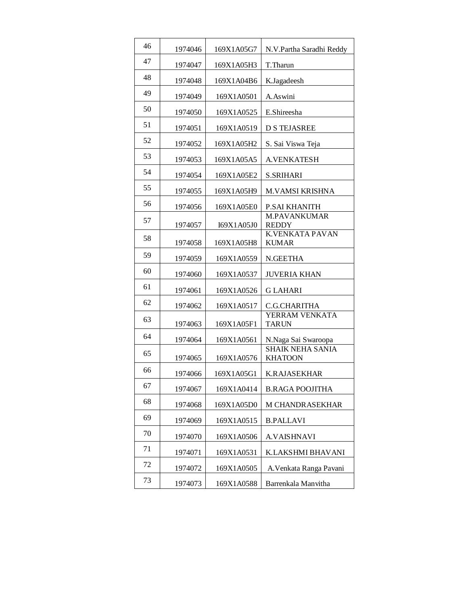| 46 | 1974046 | 169X1A05G7 | N.V.Partha Saradhi Reddy                  |
|----|---------|------------|-------------------------------------------|
| 47 | 1974047 | 169X1A05H3 | T.Tharun                                  |
| 48 | 1974048 | 169X1A04B6 | K.Jagadeesh                               |
| 49 | 1974049 | 169X1A0501 | A.Aswini                                  |
| 50 | 1974050 | 169X1A0525 | E.Shireesha                               |
| 51 | 1974051 | 169X1A0519 | <b>D S TEJASREE</b>                       |
| 52 | 1974052 | 169X1A05H2 | S. Sai Viswa Teja                         |
| 53 | 1974053 | 169X1A05A5 | <b>A.VENKATESH</b>                        |
| 54 | 1974054 | 169X1A05E2 | <b>S.SRIHARI</b>                          |
| 55 | 1974055 | 169X1A05H9 | <b>M.VAMSI KRISHNA</b>                    |
| 56 | 1974056 | 169X1A05E0 | <b>P.SAI KHANITH</b>                      |
| 57 |         |            | <b>M.PAVANKUMAR</b>                       |
| 58 | 1974057 | I69X1A05J0 | <b>REDDY</b><br><b>K.VENKATA PAVAN</b>    |
|    | 1974058 | 169X1A05H8 | <b>KUMAR</b>                              |
| 59 | 1974059 | 169X1A0559 | N.GEETHA                                  |
| 60 | 1974060 | 169X1A0537 | <b>JUVERIA KHAN</b>                       |
| 61 | 1974061 | 169X1A0526 | <b>GLAHARI</b>                            |
| 62 | 1974062 | 169X1A0517 | C.G.CHARITHA                              |
| 63 | 1974063 | 169X1A05F1 | YERRAM VENKATA<br><b>TARUN</b>            |
| 64 | 1974064 | 169X1A0561 | N.Naga Sai Swaroopa                       |
| 65 | 1974065 | 169X1A0576 | <b>SHAIK NEHA SANIA</b><br><b>KHATOON</b> |
| 66 | 1974066 | 169X1A05G1 | K.RAJASEKHAR                              |
| 67 | 1974067 | 169X1A0414 | <b>B.RAGA POOJITHA</b>                    |
| 68 | 1974068 | 169X1A05D0 | M CHANDRASEKHAR                           |
| 69 |         |            |                                           |
|    | 1974069 | 169X1A0515 | <b>B.PALLAVI</b>                          |
| 70 | 1974070 | 169X1A0506 | <b>A.VAISHNAVI</b>                        |
| 71 | 1974071 | 169X1A0531 | K.LAKSHMI BHAVANI                         |
| 72 | 1974072 | 169X1A0505 | A. Venkata Ranga Pavani                   |
| 73 | 1974073 | 169X1A0588 | Barrenkala Manvitha                       |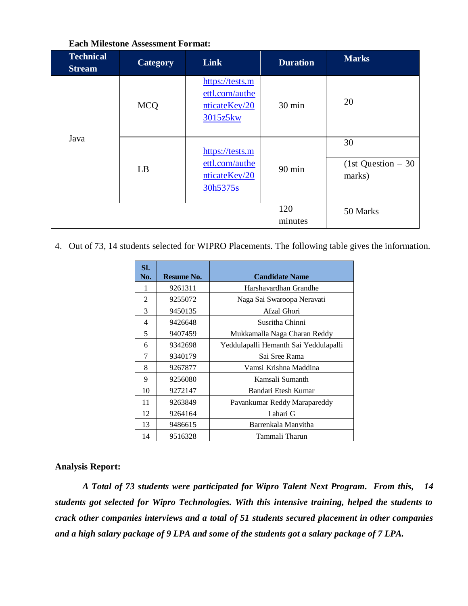| <b>Technical</b><br><b>Stream</b> | Category   | <b>Link</b>                                                    | <b>Duration</b> | <b>Marks</b>                        |
|-----------------------------------|------------|----------------------------------------------------------------|-----------------|-------------------------------------|
|                                   | <b>MCQ</b> | https://tests.m<br>ettl.com/authe<br>nticateKey/20<br>3015z5kw | 30 min          | 20                                  |
| Java                              | LB         | https://tests.m<br>ettl.com/authe<br>nticateKey/20<br>30h5375s | $90$ min        | 30<br>(1st Question $-30$<br>marks) |
|                                   |            |                                                                | 120<br>minutes  | 50 Marks                            |

#### **Each Milestone Assessment Format:**

4. Out of 73, 14 students selected for WIPRO Placements. The following table gives the information.

| SI.<br>No. | Resume No. | <b>Candidate Name</b>                 |
|------------|------------|---------------------------------------|
| 1          | 9261311    | Harshavardhan Grandhe                 |
| 2          | 9255072    | Naga Sai Swaroopa Neravati            |
| 3          | 9450135    | Afzal Ghori                           |
| 4          | 9426648    | Susritha Chinni                       |
| 5          | 9407459    | Mukkamalla Naga Charan Reddy          |
| 6          | 9342698    | Yeddulapalli Hemanth Sai Yeddulapalli |
| 7          | 9340179    | Sai Sree Rama                         |
| 8          | 9267877    | Vamsi Krishna Maddina                 |
| 9          | 9256080    | Kamsali Sumanth                       |
| 10         | 9272147    | Bandari Etesh Kumar                   |
| 11         | 9263849    | Pavankumar Reddy Marapareddy          |
| 12         | 9264164    | Lahari G                              |
| 13         | 9486615    | Barrenkala Manvitha                   |
| 14         | 9516328    | Tammali Tharun                        |

#### **Analysis Report:**

*A Total of 73 students were participated for Wipro Talent Next Program. From this, 14 students got selected for Wipro Technologies. With this intensive training, helped the students to crack other companies interviews and a total of 51 students secured placement in other companies and a high salary package of 9 LPA and some of the students got a salary package of 7 LPA.*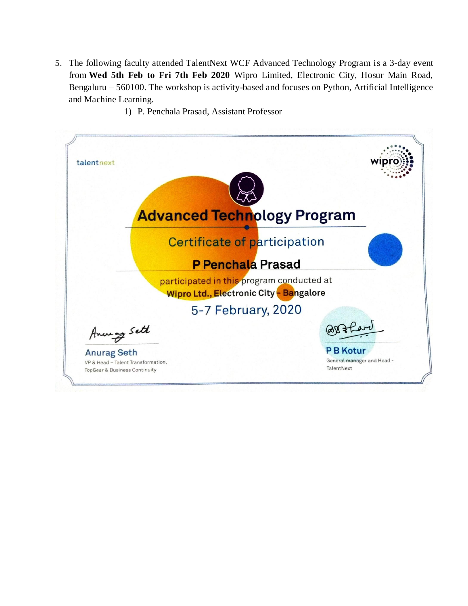- 5. The following faculty attended TalentNext WCF Advanced Technology Program is a 3-day event from **Wed 5th Feb to Fri 7th Feb 2020** Wipro Limited, Electronic City, Hosur Main Road, Bengaluru – 560100. The workshop is activity-based and focuses on Python, Artificial Intelligence and Machine Learning.
	- 1) P. Penchala Prasad, Assistant Professor

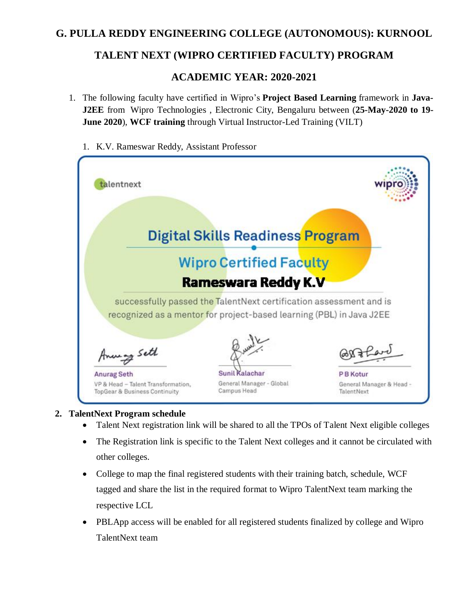# **G. PULLA REDDY ENGINEERING COLLEGE (AUTONOMOUS): KURNOOL**

# **TALENT NEXT (WIPRO CERTIFIED FACULTY) PROGRAM**

## **ACADEMIC YEAR: 2020-2021**

- 1. The following faculty have certified in Wipro's **Project Based Learning** framework in **Java-J2EE** from Wipro Technologies , Electronic City, Bengaluru between (**25-May-2020 to 19- June 2020**), **WCF training** through Virtual Instructor-Led Training (VILT)
	- 1. K.V. Rameswar Reddy, Assistant Professor



#### **2. TalentNext Program schedule**

- Talent Next registration link will be shared to all the TPOs of Talent Next eligible colleges
- The Registration link is specific to the Talent Next colleges and it cannot be circulated with other colleges.
- College to map the final registered students with their training batch, schedule, WCF tagged and share the list in the required format to Wipro TalentNext team marking the respective LCL
- PBLApp access will be enabled for all registered students finalized by college and Wipro TalentNext team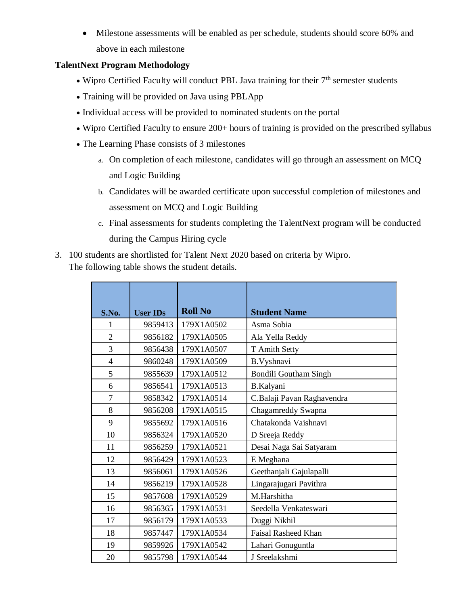Milestone assessments will be enabled as per schedule, students should score 60% and above in each milestone

## **TalentNext Program Methodology**

- $\bullet$  Wipro Certified Faculty will conduct PBL Java training for their  $7<sup>th</sup>$  semester students
- Training will be provided on Java using PBLApp
- Individual access will be provided to nominated students on the portal
- Wipro Certified Faculty to ensure 200+ hours of training is provided on the prescribed syllabus
- The Learning Phase consists of 3 milestones
	- a. On completion of each milestone, candidates will go through an assessment on MCQ and Logic Building
	- b. Candidates will be awarded certificate upon successful completion of milestones and assessment on MCQ and Logic Building
	- c. Final assessments for students completing the TalentNext program will be conducted during the Campus Hiring cycle
- 3. 100 students are shortlisted for Talent Next 2020 based on criteria by Wipro. The following table shows the student details.

| S.No.          | <b>User IDs</b> | <b>Roll No</b> | <b>Student Name</b>          |
|----------------|-----------------|----------------|------------------------------|
| 1              | 9859413         | 179X1A0502     | Asma Sobia                   |
| $\overline{2}$ | 9856182         | 179X1A0505     | Ala Yella Reddy              |
| 3              | 9856438         | 179X1A0507     | T Amith Setty                |
| $\overline{4}$ | 9860248         | 179X1A0509     | B.Vyshnavi                   |
| 5              | 9855639         | 179X1A0512     | <b>Bondili Goutham Singh</b> |
| 6              | 9856541         | 179X1A0513     | B.Kalyani                    |
| $\overline{7}$ | 9858342         | 179X1A0514     | C.Balaji Pavan Raghavendra   |
| 8              | 9856208         | 179X1A0515     | Chagamreddy Swapna           |
| 9              | 9855692         | 179X1A0516     | Chatakonda Vaishnavi         |
| 10             | 9856324         | 179X1A0520     | D Sreeja Reddy               |
| 11             | 9856259         | 179X1A0521     | Desai Naga Sai Satyaram      |
| 12             | 9856429         | 179X1A0523     | E Meghana                    |
| 13             | 9856061         | 179X1A0526     | Geethanjali Gajulapalli      |
| 14             | 9856219         | 179X1A0528     | Lingarajugari Pavithra       |
| 15             | 9857608         | 179X1A0529     | M.Harshitha                  |
| 16             | 9856365         | 179X1A0531     | Seedella Venkateswari        |
| 17             | 9856179         | 179X1A0533     | Duggi Nikhil                 |
| 18             | 9857447         | 179X1A0534     | <b>Faisal Rasheed Khan</b>   |
| 19             | 9859926         | 179X1A0542     | Lahari Gonuguntla            |
| 20             | 9855798         | 179X1A0544     | J Sreelakshmi                |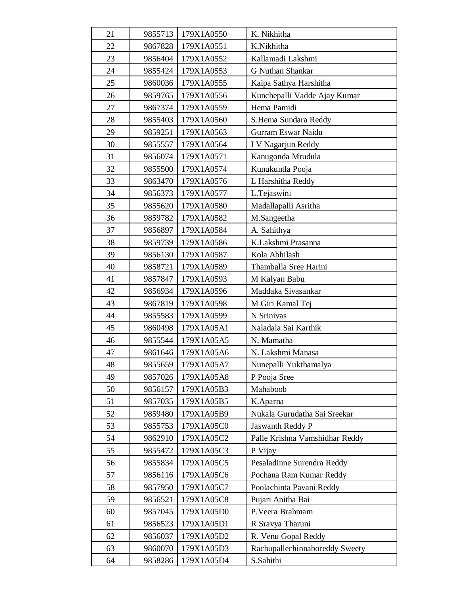| 21 | 9855713 | 179X1A0550 | K. Nikhitha                    |
|----|---------|------------|--------------------------------|
| 22 | 9867828 | 179X1A0551 | K.Nikhitha                     |
| 23 | 9856404 | 179X1A0552 | Kallamadi Lakshmi              |
| 24 | 9855424 | 179X1A0553 | <b>G Nuthan Shankar</b>        |
| 25 | 9860036 | 179X1A0555 | Kaipa Sathya Harshitha         |
| 26 | 9859765 | 179X1A0556 | Kunchepalli Vadde Ajay Kumar   |
| 27 | 9867374 | 179X1A0559 | Hema Pamidi                    |
| 28 | 9855403 | 179X1A0560 | S.Hema Sundara Reddy           |
| 29 | 9859251 | 179X1A0563 | Gurram Eswar Naidu             |
| 30 | 9855557 | 179X1A0564 | I V Nagarjun Reddy             |
| 31 | 9856074 | 179X1A0571 | Kanugonda Mrudula              |
| 32 | 9855500 | 179X1A0574 | Kunukuntla Pooja               |
| 33 | 9863470 | 179X1A0576 | L Harshitha Reddy              |
| 34 | 9856373 | 179X1A0577 | L.Tejaswini                    |
| 35 | 9855620 | 179X1A0580 | Madallapalli Asritha           |
| 36 | 9859782 | 179X1A0582 | M.Sangeetha                    |
| 37 | 9856897 | 179X1A0584 | A. Sahithya                    |
| 38 | 9859739 | 179X1A0586 | K.Lakshmi Prasanna             |
| 39 | 9856130 | 179X1A0587 | Kola Abhilash                  |
| 40 | 9858721 | 179X1A0589 | Thamballa Sree Harini          |
| 41 | 9857847 | 179X1A0593 | M Kalyan Babu                  |
| 42 | 9856934 | 179X1A0596 | Maddaka Sivasankar             |
| 43 | 9867819 | 179X1A0598 | M Giri Kamal Tej               |
| 44 | 9855583 | 179X1A0599 | N Srinivas                     |
| 45 | 9860498 | 179X1A05A1 | Naladala Sai Karthik           |
| 46 | 9855544 | 179X1A05A5 | N. Mamatha                     |
| 47 | 9861646 | 179X1A05A6 | N. Lakshmi Manasa              |
| 48 | 9855659 | 179X1A05A7 | Nunepalli Yukthamalya          |
| 49 | 9857026 | 179X1A05A8 | P Pooja Sree                   |
| 50 | 9856157 | 179X1A05B3 | Mahaboob                       |
| 51 | 9857035 | 179X1A05B5 | K.Aparna                       |
| 52 | 9859480 | 179X1A05B9 | Nukala Gurudatha Sai Sreekar   |
| 53 | 9855753 | 179X1A05C0 | Jaswanth Reddy P               |
| 54 | 9862910 | 179X1A05C2 | Palle Krishna Vamshidhar Reddy |
| 55 | 9855472 | 179X1A05C3 | P Vijay                        |
| 56 | 9855834 | 179X1A05C5 | Pesaladinne Surendra Reddy     |
| 57 | 9856116 | 179X1A05C6 | Pochana Ram Kumar Reddy        |
| 58 | 9857950 | 179X1A05C7 | Poolachinta Pavani Reddy       |
| 59 | 9856521 | 179X1A05C8 | Pujari Anitha Bai              |
| 60 | 9857045 | 179X1A05D0 | P.Veera Brahmam                |
| 61 | 9856523 | 179X1A05D1 | R Sravya Tharuni               |
| 62 | 9856037 | 179X1A05D2 | R. Venu Gopal Reddy            |
| 63 | 9860070 | 179X1A05D3 | Rachupallechinnaboreddy Sweety |
| 64 | 9858286 | 179X1A05D4 | S.Sahithi                      |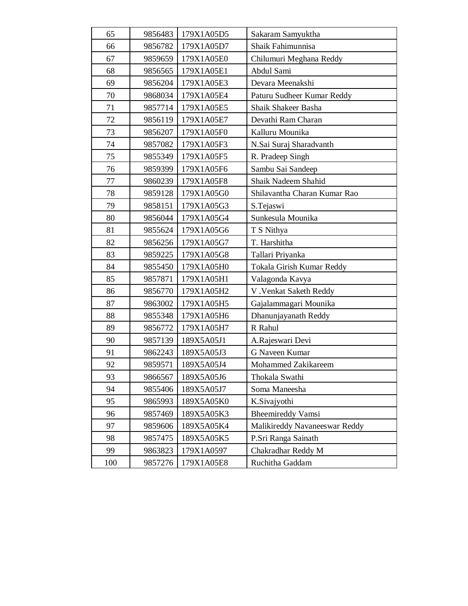| 65     | 9856483 | 179X1A05D5 | Sakaram Samyuktha             |
|--------|---------|------------|-------------------------------|
| 66     | 9856782 | 179X1A05D7 | Shaik Fahimunnisa             |
| 67     | 9859659 | 179X1A05E0 | Chilumuri Meghana Reddy       |
| 68     | 9856565 | 179X1A05E1 | Abdul Sami                    |
| 69     | 9856204 | 179X1A05E3 | Devara Meenakshi              |
| 70     | 9868034 | 179X1A05E4 | Paturu Sudheer Kumar Reddy    |
| 71     | 9857714 | 179X1A05E5 | Shaik Shakeer Basha           |
| 72     | 9856119 | 179X1A05E7 | Devathi Ram Charan            |
| 73     | 9856207 | 179X1A05F0 | Kalluru Mounika               |
| 74     | 9857082 | 179X1A05F3 | N.Sai Suraj Sharadvanth       |
| 75     | 9855349 | 179X1A05F5 | R. Pradeep Singh              |
| 76     | 9859399 | 179X1A05F6 | Sambu Sai Sandeep             |
| $77\,$ | 9860239 | 179X1A05F8 | Shaik Nadeem Shahid           |
| 78     | 9859128 | 179X1A05G0 | Shilavantha Charan Kumar Rao  |
| 79     | 9858151 | 179X1A05G3 | S.Tejaswi                     |
| 80     | 9856044 | 179X1A05G4 | Sunkesula Mounika             |
| 81     | 9855624 | 179X1A05G6 | T S Nithya                    |
| 82     | 9856256 | 179X1A05G7 | T. Harshitha                  |
| 83     | 9859225 | 179X1A05G8 | Tallari Priyanka              |
| 84     | 9855450 | 179X1A05H0 | Tokala Girish Kumar Reddy     |
| 85     | 9857871 | 179X1A05H1 | Valagonda Kavya               |
| 86     | 9856770 | 179X1A05H2 | V . Venkat Saketh Reddy       |
| 87     | 9863002 | 179X1A05H5 | Gajalammagari Mounika         |
| 88     | 9855348 | 179X1A05H6 | Dhanunjayanath Reddy          |
| 89     | 9856772 | 179X1A05H7 | R Rahul                       |
| 90     | 9857139 | 189X5A05J1 | A.Rajeswari Devi              |
| 91     | 9862243 | 189X5A05J3 | <b>G Naveen Kumar</b>         |
| 92     | 9859571 | 189X5A05J4 | Mohammed Zakikareem           |
| 93     | 9866567 | 189X5A05J6 | Thokala Swathi                |
| 94     | 9855406 | 189X5A05J7 | Soma Maneesha                 |
| 95     | 9865993 | 189X5A05K0 | K.Sivajyothi                  |
| 96     | 9857469 | 189X5A05K3 | <b>Bheemireddy Vamsi</b>      |
| 97     | 9859606 | 189X5A05K4 | Malikireddy Navaneeswar Reddy |
| 98     | 9857475 | 189X5A05K5 | P.Sri Ranga Sainath           |
| 99     | 9863823 | 179X1A0597 | Chakradhar Reddy M            |
| 100    | 9857276 | 179X1A05E8 | Ruchitha Gaddam               |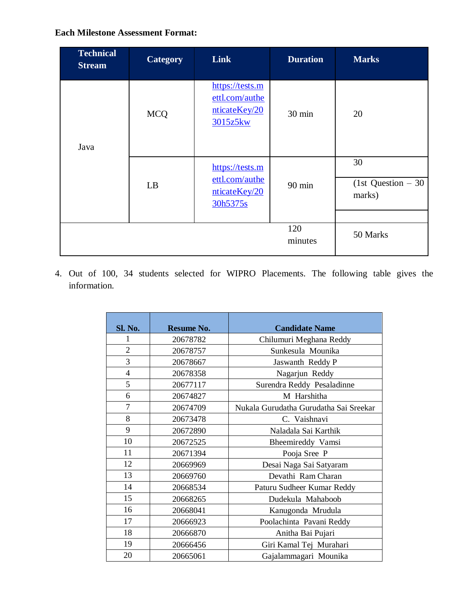## **Each Milestone Assessment Format:**

| <b>Technical</b><br><b>Stream</b> | Category   | Link                                                           | <b>Duration</b>  | <b>Marks</b>                        |
|-----------------------------------|------------|----------------------------------------------------------------|------------------|-------------------------------------|
| Java                              | <b>MCQ</b> | https://tests.m<br>ettl.com/authe<br>nticateKey/20<br>3015z5kw | 30 min           | 20                                  |
|                                   | LB         | https://tests.m<br>ettl.com/authe<br>nticateKey/20<br>30h5375s | $90 \text{ min}$ | 30<br>(1st Question $-30$<br>marks) |
|                                   |            |                                                                | 120<br>minutes   | 50 Marks                            |

4. Out of 100, 34 students selected for WIPRO Placements. The following table gives the information.

| Sl. No.        | Resume No. | <b>Candidate Name</b>                  |
|----------------|------------|----------------------------------------|
|                |            |                                        |
|                | 20678782   | Chilumuri Meghana Reddy                |
| $\overline{2}$ | 20678757   | Sunkesula Mounika                      |
| 3              | 20678667   | Jaswanth Reddy P                       |
| $\overline{4}$ | 20678358   | Nagarjun Reddy                         |
| 5              | 20677117   | Surendra Reddy Pesaladinne             |
| 6              | 20674827   | M Harshitha                            |
| 7              | 20674709   | Nukala Gurudatha Gurudatha Sai Sreekar |
| 8              | 20673478   | C. Vaishnavi                           |
| 9              | 20672890   | Naladala Sai Karthik                   |
| 10             | 20672525   | Bheemireddy Vamsi                      |
| 11             | 20671394   | Pooja Sree P                           |
| 12             | 20669969   | Desai Naga Sai Satyaram                |
| 13             | 20669760   | Devathi Ram Charan                     |
| 14             | 20668534   | Paturu Sudheer Kumar Reddy             |
| 15             | 20668265   | Dudekula Mahaboob                      |
| 16             | 20668041   | Kanugonda Mrudula                      |
| 17             | 20666923   | Poolachinta Pavani Reddy               |
| 18             | 20666870   | Anitha Bai Pujari                      |
| 19             | 20666456   | Giri Kamal Tej Murahari                |
| 20             | 20665061   | Gajalammagari Mounika                  |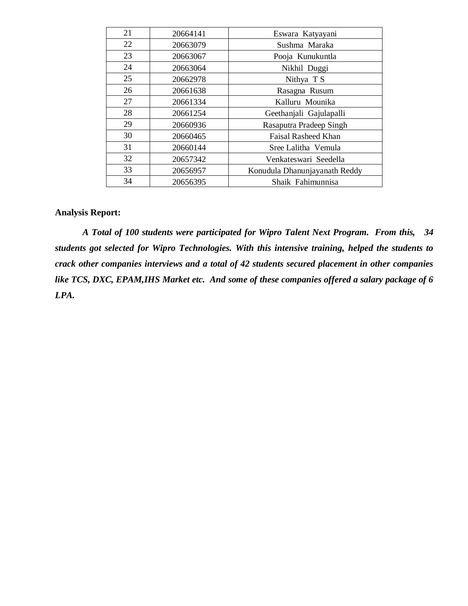| 21 | 20664141 | Eswara Katyayani              |
|----|----------|-------------------------------|
| 22 | 20663079 | Sushma Maraka                 |
| 23 | 20663067 | Pooja Kunukuntla              |
| 24 | 20663064 | Nikhil Duggi                  |
| 25 | 20662978 | Nithya T S                    |
| 26 | 20661638 | Rasagna Rusum                 |
| 27 | 20661334 | Kalluru Mounika               |
| 28 | 20661254 | Geethanjali Gajulapalli       |
| 29 | 20660936 | Rasaputra Pradeep Singh       |
| 30 | 20660465 | <b>Faisal Rasheed Khan</b>    |
| 31 | 20660144 | Sree Lalitha Vemula           |
| 32 | 20657342 | Venkateswari Seedella         |
| 33 | 20656957 | Konudula Dhanunjayanath Reddy |
| 34 | 20656395 | Shaik Fahimunnisa             |

## **Analysis Report:**

*A Total of 100 students were participated for Wipro Talent Next Program. From this, 34 students got selected for Wipro Technologies. With this intensive training, helped the students to crack other companies interviews and a total of 42 students secured placement in other companies like TCS, DXC, EPAM,IHS Market etc. And some of these companies offered a salary package of 6 LPA.*